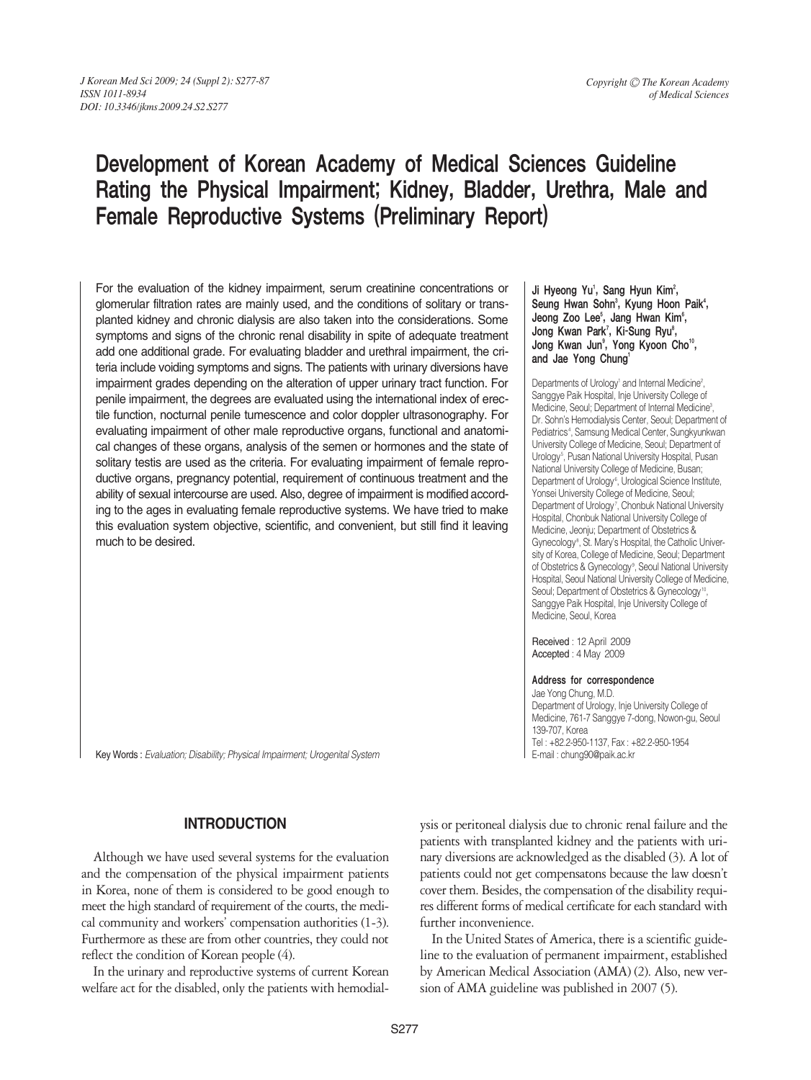# Development of Korean Academy of Medical Sciences Guideline Rating the Physical Impairment; Kidney, Bladder, Urethra, Male and Female Reproductive Systems (Preliminary Report)

For the evaluation of the kidney impairment, serum creatinine concentrations or glomerular filtration rates are mainly used, and the conditions of solitary or transplanted kidney and chronic dialysis are also taken into the considerations. Some symptoms and signs of the chronic renal disability in spite of adequate treatment add one additional grade. For evaluating bladder and urethral impairment, the criteria include voiding symptoms and signs. The patients with urinary diversions have impairment grades depending on the alteration of upper urinary tract function. For penile impairment, the degrees are evaluated using the international index of erectile function, nocturnal penile tumescence and color doppler ultrasonography. For evaluating impairment of other male reproductive organs, functional and anatomical changes of these organs, analysis of the semen or hormones and the state of solitary testis are used as the criteria. For evaluating impairment of female reproductive organs, pregnancy potential, requirement of continuous treatment and the ability of sexual intercourse are used. Also, degree of impairment is modified according to the ages in evaluating female reproductive systems. We have tried to make this evaluation system objective, scientific, and convenient, but still find it leaving much to be desired.

Ji Hyeong Yu<sup>1</sup>, Sang Hyun Kim<sup>2</sup>, Seung Hwan Sohn<sup>3</sup>, Kyung Hoon Paik<sup>4</sup>, Jeong Zoo Lee<sup>s</sup>, Jang Hwan Kim<sup>s</sup>, Jong Kwan Park<sup>7</sup>, Ki-Sung Ryu<sup>8</sup>, Jong Kwan Jun<sup>9</sup>, Yong Kyoon Cho<sup>10</sup>, and Jae Yong Chung<sup>1</sup>

Departments of Urology' and Internal Medicine<sup>2</sup>, Sanggye Paik Hospital, Inje University College of Medicine, Seoul; Department of Internal Medicine3 , Dr. Sohn's Hemodialysis Center, Seoul; Department of Pediatrics<sup>4</sup>, Samsung Medical Center, Sungkyunkwan University College of Medicine, Seoul; Department of Urology<sup>s</sup>, Pusan National University Hospital, Pusan National University College of Medicine, Busan; Department of Urology<sup>6</sup>, Urological Science Institute, Yonsei University College of Medicine, Seoul; Department of Urology<sup>7</sup>, Chonbuk National University Hospital, Chonbuk National University College of Medicine, Jeonju; Department of Obstetrics & Gynecology<sup>8</sup>, St. Mary's Hospital, the Catholic University of Korea, College of Medicine, Seoul; Department of Obstetrics & Gynecology<sup>9</sup>, Seoul National University Hospital, Seoul National University College of Medicine, Seoul; Department of Obstetrics & Gynecology<sup>10</sup>, Sanggye Paik Hospital, Inje University College of Medicine, Seoul, Korea

Received : 12 April 2009 Accepted : 4 May 2009

#### Address for correspondence

Jae Yong Chung, M.D. Department of Urology, Inje University College of Medicine, 761-7 Sanggye 7-dong, Nowon-gu, Seoul 139-707, Korea Tel : +82.2-950-1137, Fax : +82.2-950-1954 E-mail : chung90@paik.ac.kr

Key Words : *Evaluation; Disability; Physical Impairment; Urogenital System*

# **INTRODUCTION**

Although we have used several systems for the evaluation and the compensation of the physical impairment patients in Korea, none of them is considered to be good enough to meet the high standard of requirement of the courts, the medical community and workers' compensation authorities (1-3). Furthermore as these are from other countries, they could not reflect the condition of Korean people (4).

In the urinary and reproductive systems of current Korean welfare act for the disabled, only the patients with hemodialysis or peritoneal dialysis due to chronic renal failure and the patients with transplanted kidney and the patients with urinary diversions are acknowledged as the disabled (3). A lot of patients could not get compensatons because the law doesn't cover them. Besides, the compensation of the disability requires different forms of medical certificate for each standard with further inconvenience.

In the United States of America, there is a scientific guideline to the evaluation of permanent impairment, established by American Medical Association (AMA) (2). Also, new version of AMA guideline was published in 2007 (5).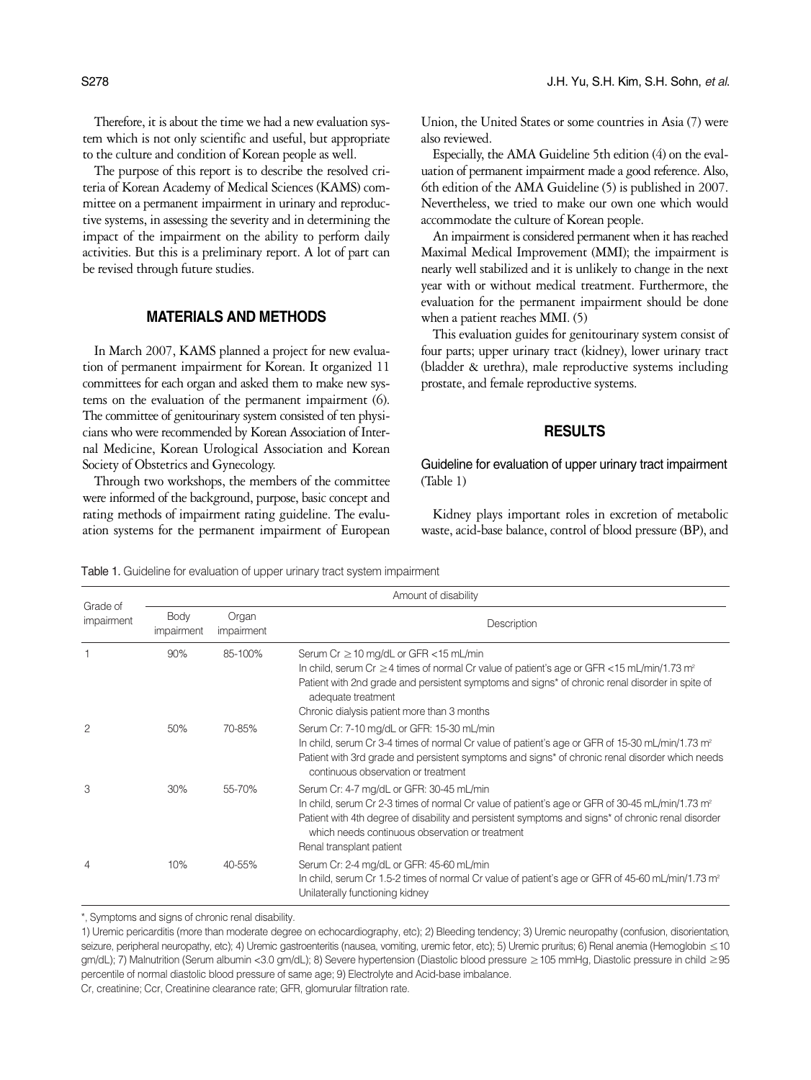Therefore, it is about the time we had a new evaluation system which is not only scientific and useful, but appropriate to the culture and condition of Korean people as well.

The purpose of this report is to describe the resolved criteria of Korean Academy of Medical Sciences (KAMS) committee on a permanent impairment in urinary and reproductive systems, in assessing the severity and in determining the impact of the impairment on the ability to perform daily activities. But this is a preliminary report. A lot of part can be revised through future studies.

# **MATERIALS AND METHODS**

In March 2007, KAMS planned a project for new evaluation of permanent impairment for Korean. It organized 11 committees for each organ and asked them to make new systems on the evaluation of the permanent impairment (6). The committee of genitourinary system consisted of ten physicians who were recommended by Korean Association of Internal Medicine, Korean Urological Association and Korean Society of Obstetrics and Gynecology.

Through two workshops, the members of the committee were informed of the background, purpose, basic concept and rating methods of impairment rating guideline. The evaluation systems for the permanent impairment of European Union, the United States or some countries in Asia (7) were also reviewed.

Especially, the AMA Guideline 5th edition (4) on the evaluation of permanent impairment made a good reference. Also, 6th edition of the AMA Guideline (5) is published in 2007. Nevertheless, we tried to make our own one which would accommodate the culture of Korean people.

An impairment is considered permanent when it has reached Maximal Medical Improvement (MMI); the impairment is nearly well stabilized and it is unlikely to change in the next year with or without medical treatment. Furthermore, the evaluation for the permanent impairment should be done when a patient reaches MMI. (5)

This evaluation guides for genitourinary system consist of four parts; upper urinary tract (kidney), lower urinary tract (bladder & urethra), male reproductive systems including prostate, and female reproductive systems.

# **RESULTS**

Guideline for evaluation of upper urinary tract impairment (Table 1)

Kidney plays important roles in excretion of metabolic waste, acid-base balance, control of blood pressure (BP), and

|                        | Amount of disability |                     |                                                                                                                                                                                                                                                                                                                                              |  |
|------------------------|----------------------|---------------------|----------------------------------------------------------------------------------------------------------------------------------------------------------------------------------------------------------------------------------------------------------------------------------------------------------------------------------------------|--|
| Grade of<br>impairment | Body<br>impairment   | Organ<br>impairment | Description                                                                                                                                                                                                                                                                                                                                  |  |
|                        | 90%                  | 85-100%             | Serum Cr $\geq$ 10 mg/dL or GFR < 15 mL/min<br>In child, serum Cr $\geq$ 4 times of normal Cr value of patient's age or GFR < 15 mL/min/1.73 m <sup>2</sup><br>Patient with 2nd grade and persistent symptoms and signs* of chronic renal disorder in spite of<br>adequate treatment<br>Chronic dialysis patient more than 3 months          |  |
| 2                      | 50%                  | 70-85%              | Serum Cr: 7-10 mg/dL or GFR: 15-30 mL/min<br>In child, serum Cr 3-4 times of normal Cr value of patient's age or GFR of 15-30 mL/min/1.73 m <sup>2</sup><br>Patient with 3rd grade and persistent symptoms and signs* of chronic renal disorder which needs<br>continuous observation or treatment                                           |  |
| 3                      | 30%                  | 55-70%              | Serum Cr: 4-7 mg/dL or GFR: 30-45 mL/min<br>In child, serum Cr 2-3 times of normal Cr value of patient's age or GFR of 30-45 mL/min/1.73 m <sup>2</sup><br>Patient with 4th degree of disability and persistent symptoms and signs* of chronic renal disorder<br>which needs continuous observation or treatment<br>Renal transplant patient |  |
| 4                      | 10%                  | 40-55%              | Serum Cr: 2-4 mg/dL or GFR: 45-60 mL/min<br>In child, serum Cr 1.5-2 times of normal Cr value of patient's age or GFR of 45-60 mL/min/1.73 m <sup>2</sup><br>Unilaterally functioning kidney                                                                                                                                                 |  |

Table 1. Guideline for evaluation of upper urinary tract system impairment

\*, Symptoms and signs of chronic renal disability.

1) Uremic pericarditis (more than moderate degree on echocardiography, etc); 2) Bleeding tendency; 3) Uremic neuropathy (confusion, disorientation, seizure, peripheral neuropathy, etc); 4) Uremic gastroenteritis (nausea, vomiting, uremic fetor, etc); 5) Uremic pruritus; 6) Renal anemia (Hemoglobin ≤10 gm/dL); 7) Malnutrition (Serum albumin <3.0 gm/dL); 8) Severe hypertension (Diastolic blood pressure ≥105 mmHg, Diastolic pressure in child ≥95 percentile of normal diastolic blood pressure of same age; 9) Electrolyte and Acid-base imbalance.

Cr, creatinine; Ccr, Creatinine clearance rate; GFR, glomurular filtration rate.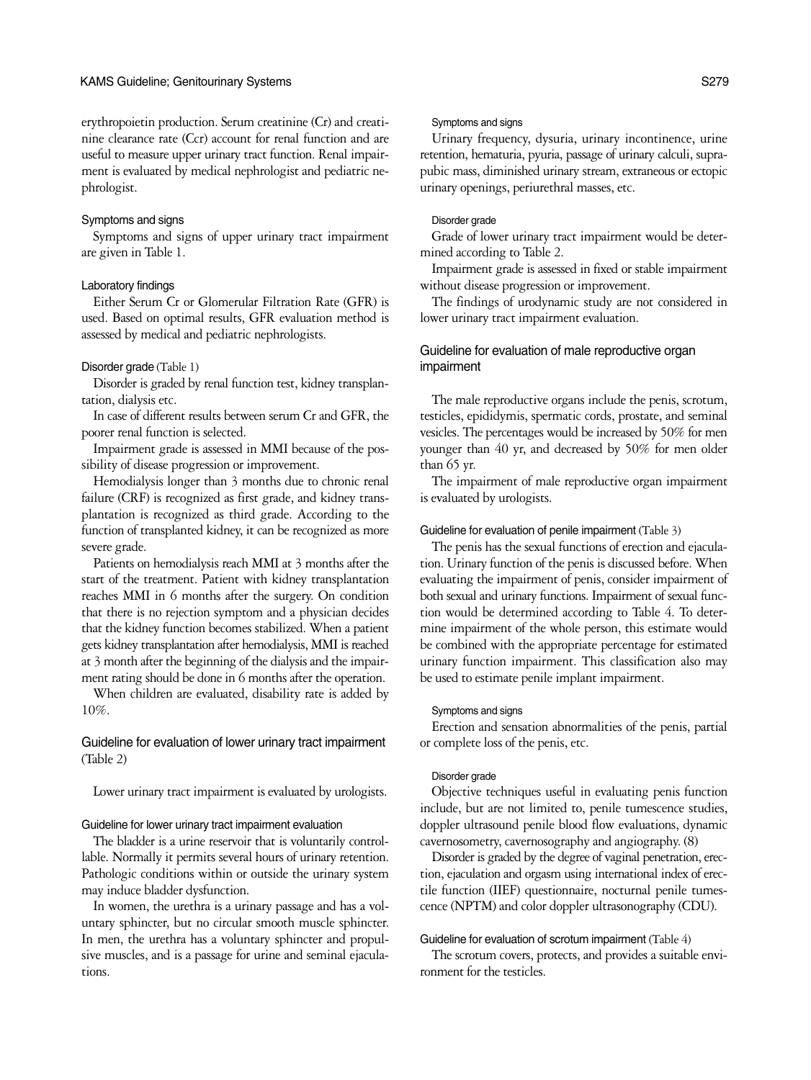erythropoietin production. Serum creatinine (Cr) and creatinine clearance rate (Ccr) account for renal function and are useful to measure upper urinary tract function. Renal impairment is evaluated by medical nephrologist and pediatric nephrologist.

# Symptoms and signs

Symptoms and signs of upper urinary tract impairment are given in Table 1.

# Laboratory findings

Either Serum Cr or Glomerular Filtration Rate (GFR) is used. Based on optimal results, GFR evaluation method is assessed by medical and pediatric nephrologists.

# Disorder grade (Table 1)

Disorder is graded by renal function test, kidney transplantation, dialysis etc.

In case of different results between serum Cr and GFR, the poorer renal function is selected.

Impairment grade is assessed in MMI because of the possibility of disease progression or improvement.

Hemodialysis longer than 3 months due to chronic renal failure (CRF) is recognized as first grade, and kidney transplantation is recognized as third grade. According to the function of transplanted kidney, it can be recognized as more severe grade.

Patients on hemodialysis reach MMI at 3 months after the start of the treatment. Patient with kidney transplantation reaches MMI in 6 months after the surgery. On condition that there is no rejection symptom and a physician decides that the kidney function becomes stabilized. When a patient gets kidney transplantation after hemodialysis, MMI is reached at 3 month after the beginning of the dialysis and the impairment rating should be done in 6 months after the operation.

When children are evaluated, disability rate is added by 10%.

# Guideline for evaluation of lower urinary tract impairment (Table 2)

Lower urinary tract impairment is evaluated by urologists.

## Guideline for lower urinary tract impairment evaluation

The bladder is a urine reservoir that is voluntarily controllable. Normally it permits several hours of urinary retention. Pathologic conditions within or outside the urinary system may induce bladder dysfunction.

In women, the urethra is a urinary passage and has a voluntary sphincter, but no circular smooth muscle sphincter. In men, the urethra has a voluntary sphincter and propulsive muscles, and is a passage for urine and seminal ejaculations.

## Symptoms and signs

Urinary frequency, dysuria, urinary incontinence, urine retention, hematuria, pyuria, passage of urinary calculi, suprapubic mass, diminished urinary stream, extraneous or ectopic urinary openings, periurethral masses, etc.

## Disorder grade

Grade of lower urinary tract impairment would be determined according to Table 2.

Impairment grade is assessed in fixed or stable impairment without disease progression or improvement.

The findings of urodynamic study are not considered in lower urinary tract impairment evaluation.

# Guideline for evaluation of male reproductive organ impairment

The male reproductive organs include the penis, scrotum, testicles, epididymis, spermatic cords, prostate, and seminal vesicles. The percentages would be increased by 50% for men younger than 40 yr, and decreased by 50% for men older than 65 yr.

The impairment of male reproductive organ impairment is evaluated by urologists.

## Guideline for evaluation of penile impairment (Table 3)

The penis has the sexual functions of erection and ejaculation. Urinary function of the penis is discussed before. When evaluating the impairment of penis, consider impairment of both sexual and urinary functions. Impairment of sexual function would be determined according to Table 4. To determine impairment of the whole person, this estimate would be combined with the appropriate percentage for estimated urinary function impairment. This classification also may be used to estimate penile implant impairment.

## Symptoms and signs

Erection and sensation abnormalities of the penis, partial or complete loss of the penis, etc.

#### Disorder grade

Objective techniques useful in evaluating penis function include, but are not limited to, penile tumescence studies, doppler ultrasound penile blood flow evaluations, dynamic cavernosometry, cavernosography and angiography. (8)

Disorder is graded by the degree of vaginal penetration, erection, ejaculation and orgasm using international index of erectile function (IIEF) questionnaire, nocturnal penile tumescence (NPTM) and color doppler ultrasonography (CDU).

# Guideline for evaluation of scrotum impairment (Table 4)

The scrotum covers, protects, and provides a suitable environment for the testicles.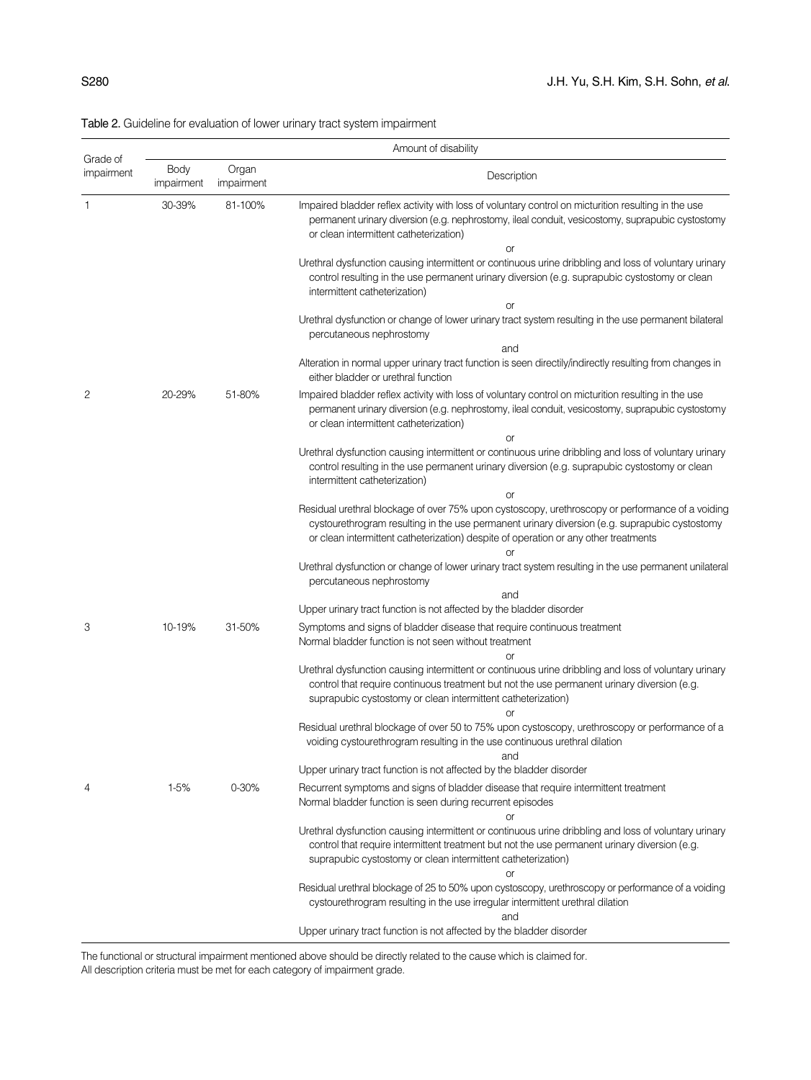|                        | Amount of disability |                     |                                                                                                                                                                                                                                                                                          |  |
|------------------------|----------------------|---------------------|------------------------------------------------------------------------------------------------------------------------------------------------------------------------------------------------------------------------------------------------------------------------------------------|--|
| Grade of<br>impairment | Body<br>impairment   | Organ<br>impairment | Description                                                                                                                                                                                                                                                                              |  |
|                        | 30-39%               | 81-100%             | Impaired bladder reflex activity with loss of voluntary control on micturition resulting in the use<br>permanent urinary diversion (e.g. nephrostomy, ileal conduit, vesicostomy, suprapubic cystostomy<br>or clean intermittent catheterization)                                        |  |
|                        |                      |                     | or<br>Urethral dysfunction causing intermittent or continuous urine dribbling and loss of voluntary urinary<br>control resulting in the use permanent urinary diversion (e.g. suprapubic cystostomy or clean<br>intermittent catheterization)                                            |  |
|                        |                      |                     | or<br>Urethral dysfunction or change of lower urinary tract system resulting in the use permanent bilateral<br>percutaneous nephrostomy                                                                                                                                                  |  |
|                        |                      |                     | and                                                                                                                                                                                                                                                                                      |  |
|                        |                      |                     | Alteration in normal upper urinary tract function is seen directily/indirectly resulting from changes in<br>either bladder or urethral function                                                                                                                                          |  |
| 2                      | 20-29%               | 51-80%              | Impaired bladder reflex activity with loss of voluntary control on micturition resulting in the use<br>permanent urinary diversion (e.g. nephrostomy, ileal conduit, vesicostomy, suprapubic cystostomy<br>or clean intermittent catheterization)                                        |  |
|                        |                      |                     | or                                                                                                                                                                                                                                                                                       |  |
|                        |                      |                     | Urethral dysfunction causing intermittent or continuous urine dribbling and loss of voluntary urinary<br>control resulting in the use permanent urinary diversion (e.g. suprapubic cystostomy or clean<br>intermittent catheterization)                                                  |  |
|                        |                      |                     | or                                                                                                                                                                                                                                                                                       |  |
|                        |                      |                     | Residual urethral blockage of over 75% upon cystoscopy, urethroscopy or performance of a voiding<br>cystourethrogram resulting in the use permanent urinary diversion (e.g. suprapubic cystostomy<br>or clean intermittent catheterization) despite of operation or any other treatments |  |
|                        |                      |                     | Urethral dysfunction or change of lower urinary tract system resulting in the use permanent unilateral<br>percutaneous nephrostomy                                                                                                                                                       |  |
|                        |                      |                     | and                                                                                                                                                                                                                                                                                      |  |
|                        |                      |                     | Upper urinary tract function is not affected by the bladder disorder                                                                                                                                                                                                                     |  |
| 3                      | 10-19%               | 31-50%              | Symptoms and signs of bladder disease that require continuous treatment<br>Normal bladder function is not seen without treatment                                                                                                                                                         |  |
|                        |                      |                     | or                                                                                                                                                                                                                                                                                       |  |
|                        |                      |                     | Urethral dysfunction causing intermittent or continuous urine dribbling and loss of voluntary urinary<br>control that require continuous treatment but not the use permanent urinary diversion (e.g.<br>suprapubic cystostomy or clean intermittent catheterization)<br>or               |  |
|                        |                      |                     | Residual urethral blockage of over 50 to 75% upon cystoscopy, urethroscopy or performance of a<br>voiding cystourethrogram resulting in the use continuous urethral dilation                                                                                                             |  |
|                        |                      |                     | and<br>Upper urinary tract function is not affected by the bladder disorder                                                                                                                                                                                                              |  |
|                        |                      |                     |                                                                                                                                                                                                                                                                                          |  |
| 4                      | $1-5%$               | $0 - 30%$           | Recurrent symptoms and signs of bladder disease that require intermittent treatment<br>Normal bladder function is seen during recurrent episodes                                                                                                                                         |  |
|                        |                      |                     | or<br>Urethral dysfunction causing intermittent or continuous urine dribbling and loss of voluntary urinary<br>control that require intermittent treatment but not the use permanent urinary diversion (e.g.<br>suprapubic cystostomy or clean intermittent catheterization)             |  |
|                        |                      |                     | or                                                                                                                                                                                                                                                                                       |  |
|                        |                      |                     | Residual urethral blockage of 25 to 50% upon cystoscopy, urethroscopy or performance of a voiding<br>cystourethrogram resulting in the use irregular intermittent urethral dilation<br>and                                                                                               |  |
|                        |                      |                     | Upper urinary tract function is not affected by the bladder disorder                                                                                                                                                                                                                     |  |

Table 2. Guideline for evaluation of lower urinary tract system impairment

The functional or structural impairment mentioned above should be directly related to the cause which is claimed for.

All description criteria must be met for each category of impairment grade.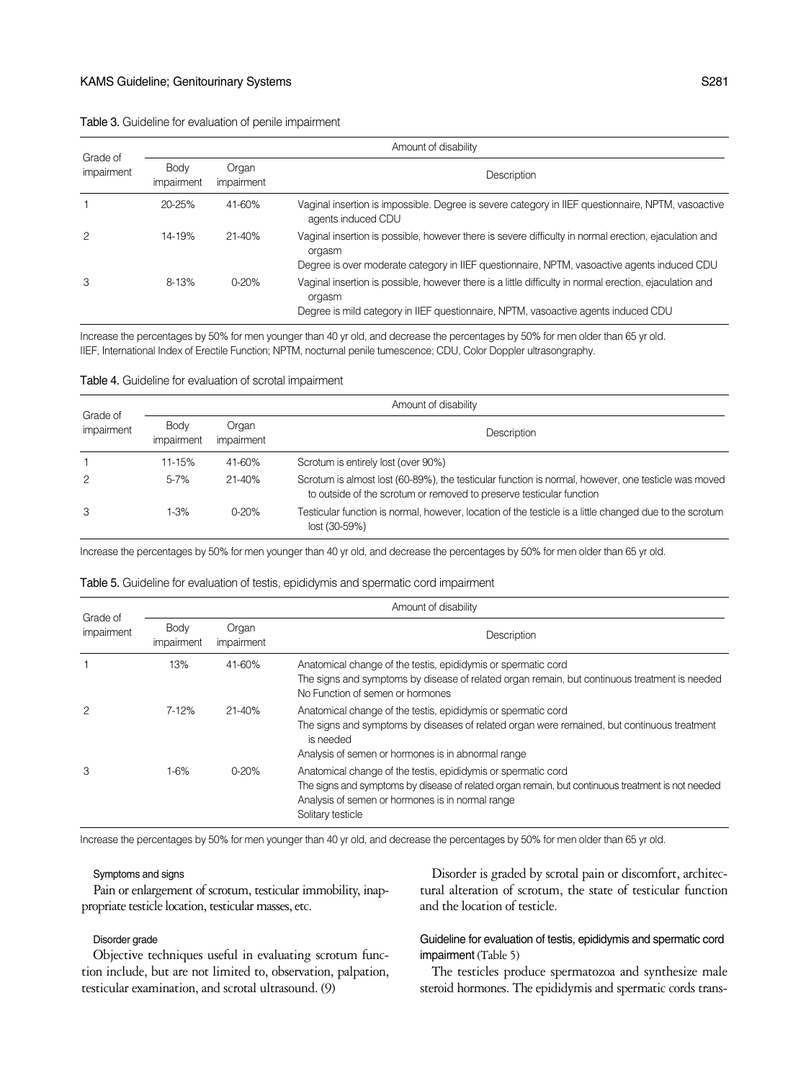| Grade of   | Amount of disability |                     |                                                                                                                                                                                                                |  |
|------------|----------------------|---------------------|----------------------------------------------------------------------------------------------------------------------------------------------------------------------------------------------------------------|--|
| impairment | Body<br>impairment   | Organ<br>impairment | Description                                                                                                                                                                                                    |  |
|            | 20-25%               | 41-60%              | Vaginal insertion is impossible. Degree is severe category in IIEF questionnaire, NPTM, vasoactive<br>agents induced CDU                                                                                       |  |
| 2          | 14-19%               | $21 - 40%$          | Vaginal insertion is possible, however there is severe difficulty in normal erection, ejaculation and<br>orgasm<br>Degree is over moderate category in IIEF questionnaire, NPTM, vasoactive agents induced CDU |  |
|            |                      |                     |                                                                                                                                                                                                                |  |
| 3          | 8-13%                | $0 - 20%$           | Vaginal insertion is possible, however there is a little difficulty in normal erection, ejaculation and<br>orgasm<br>Degree is mild category in IIEF guestionnaire, NPTM, vasoactive agents induced CDU        |  |
|            |                      |                     |                                                                                                                                                                                                                |  |

Table 3. Guideline for evaluation of penile impairment

Increase the percentages by 50% for men younger than 40 yr old, and decrease the percentages by 50% for men older than 65 yr old. IIEF, International Index of Erectile Function; NPTM, nocturnal penile tumescence; CDU, Color Doppler ultrasongraphy.

Table 4. Guideline for evaluation of scrotal impairment

|                        | Amount of disability |                     |                                                                                                                                                                             |  |
|------------------------|----------------------|---------------------|-----------------------------------------------------------------------------------------------------------------------------------------------------------------------------|--|
| Grade of<br>impairment | Body<br>impairment   | Organ<br>impairment | Description                                                                                                                                                                 |  |
|                        | 11-15%               | 41-60%              | Scrotum is entirely lost (over 90%)                                                                                                                                         |  |
| 2                      | $5 - 7%$             | $21 - 40%$          | Scrotum is almost lost (60-89%), the testicular function is normal, however, one testicle was moved<br>to outside of the scrotum or removed to preserve testicular function |  |
| 3                      | $1 - 3%$             | $0 - 20%$           | Testicular function is normal, however, location of the testicle is a little changed due to the scrotum<br>lost (30-59%)                                                    |  |

Increase the percentages by 50% for men younger than 40 yr old, and decrease the percentages by 50% for men older than 65 yr old.

#### Table 5. Guideline for evaluation of testis, epididymis and spermatic cord impairment

|                        | Amount of disability |                     |                                                                                                                                                                                                                                             |  |
|------------------------|----------------------|---------------------|---------------------------------------------------------------------------------------------------------------------------------------------------------------------------------------------------------------------------------------------|--|
| Grade of<br>impairment | Body<br>impairment   | Organ<br>impairment | Description                                                                                                                                                                                                                                 |  |
|                        | 13%                  | 41-60%              | Anatomical change of the testis, epididymis or spermatic cord<br>The signs and symptoms by disease of related organ remain, but continuous treatment is needed<br>No Function of semen or hormones                                          |  |
| 2                      | 7-12%                | $21 - 40%$          | Anatomical change of the testis, epididymis or spermatic cord<br>The signs and symptoms by diseases of related organ were remained, but continuous treatment<br>is needed<br>Analysis of semen or hormones is in abnormal range             |  |
| 3                      | $1-6%$               | $0 - 20%$           | Anatomical change of the testis, epididymis or spermatic cord<br>The signs and symptoms by disease of related organ remain, but continuous treatment is not needed<br>Analysis of semen or hormones is in normal range<br>Solitary testicle |  |

Increase the percentages by 50% for men younger than 40 yr old, and decrease the percentages by 50% for men older than 65 yr old.

# Symptoms and signs

Pain or enlargement of scrotum, testicular immobility, inappropriate testicle location, testicular masses, etc.

## Disorder grade

Objective techniques useful in evaluating scrotum function include, but are not limited to, observation, palpation, testicular examination, and scrotal ultrasound. (9)

Disorder is graded by scrotal pain or discomfort, architectural alteration of scrotum, the state of testicular function and the location of testicle.

# Guideline for evaluation of testis, epididymis and spermatic cord impairment (Table 5)

The testicles produce spermatozoa and synthesize male steroid hormones. The epididymis and spermatic cords trans-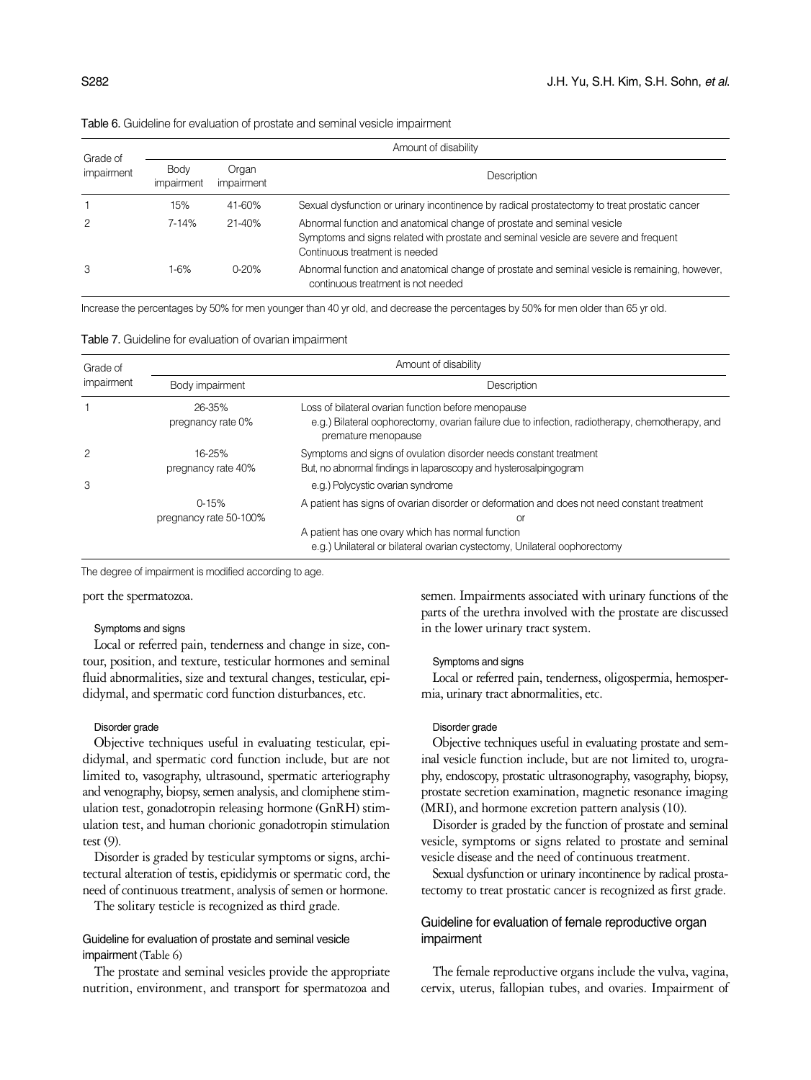|                        | Amount of disability |                     |                                                                                                                                                                                                   |  |
|------------------------|----------------------|---------------------|---------------------------------------------------------------------------------------------------------------------------------------------------------------------------------------------------|--|
| Grade of<br>impairment | Body<br>impairment   | Organ<br>impairment | Description                                                                                                                                                                                       |  |
|                        | 15%                  | 41-60%              | Sexual dysfunction or urinary incontinence by radical prostatectomy to treat prostatic cancer                                                                                                     |  |
| 2                      | 7-14%                | $21 - 40%$          | Abnormal function and anatomical change of prostate and seminal vesicle<br>Symptoms and signs related with prostate and seminal vesicle are severe and frequent<br>Continuous treatment is needed |  |
| 3                      | 1-6%                 | $0 - 20%$           | Abnormal function and anatomical change of prostate and seminal vesicle is remaining, however,<br>continuous treatment is not needed                                                              |  |

Table 6. Guideline for evaluation of prostate and seminal vesicle impairment

Increase the percentages by 50% for men younger than 40 yr old, and decrease the percentages by 50% for men older than 65 yr old.

| Grade of   | Amount of disability                |                                                                                                                                                                                                   |  |  |
|------------|-------------------------------------|---------------------------------------------------------------------------------------------------------------------------------------------------------------------------------------------------|--|--|
| impairment | Body impairment                     | Description                                                                                                                                                                                       |  |  |
|            | 26-35%<br>pregnancy rate 0%         | Loss of bilateral ovarian function before menopause<br>e.g.) Bilateral oophorectomy, ovarian failure due to infection, radiotherapy, chemotherapy, and<br>premature menopause                     |  |  |
| 2          | 16-25%<br>pregnancy rate 40%        | Symptoms and signs of ovulation disorder needs constant treatment<br>But, no abnormal findings in laparoscopy and hysterosalpingogram                                                             |  |  |
| 3          | $0 - 15%$<br>pregnancy rate 50-100% | e.g.) Polycystic ovarian syndrome<br>A patient has signs of ovarian disorder or deformation and does not need constant treatment<br>$\Omega$<br>A patient has one ovary which has normal function |  |  |
|            |                                     | e.g.) Unilateral or bilateral ovarian cystectomy, Unilateral oophorectomy                                                                                                                         |  |  |

The degree of impairment is modified according to age.

port the spermatozoa.

# Symptoms and signs

Local or referred pain, tenderness and change in size, contour, position, and texture, testicular hormones and seminal fluid abnormalities, size and textural changes, testicular, epididymal, and spermatic cord function disturbances, etc.

#### Disorder grade

Objective techniques useful in evaluating testicular, epididymal, and spermatic cord function include, but are not limited to, vasography, ultrasound, spermatic arteriography and venography, biopsy, semen analysis, and clomiphene stimulation test, gonadotropin releasing hormone (GnRH) stimulation test, and human chorionic gonadotropin stimulation test (9).

Disorder is graded by testicular symptoms or signs, architectural alteration of testis, epididymis or spermatic cord, the need of continuous treatment, analysis of semen or hormone.

The solitary testicle is recognized as third grade.

# Guideline for evaluation of prostate and seminal vesicle impairment (Table 6)

The prostate and seminal vesicles provide the appropriate nutrition, environment, and transport for spermatozoa and semen. Impairments associated with urinary functions of the parts of the urethra involved with the prostate are discussed in the lower urinary tract system.

#### Symptoms and signs

Local or referred pain, tenderness, oligospermia, hemospermia, urinary tract abnormalities, etc.

#### Disorder grade

Objective techniques useful in evaluating prostate and seminal vesicle function include, but are not limited to, urography, endoscopy, prostatic ultrasonography, vasography, biopsy, prostate secretion examination, magnetic resonance imaging (MRI), and hormone excretion pattern analysis (10).

Disorder is graded by the function of prostate and seminal vesicle, symptoms or signs related to prostate and seminal vesicle disease and the need of continuous treatment.

Sexual dysfunction or urinary incontinence by radical prostatectomy to treat prostatic cancer is recognized as first grade.

# Guideline for evaluation of female reproductive organ impairment

The female reproductive organs include the vulva, vagina, cervix, uterus, fallopian tubes, and ovaries. Impairment of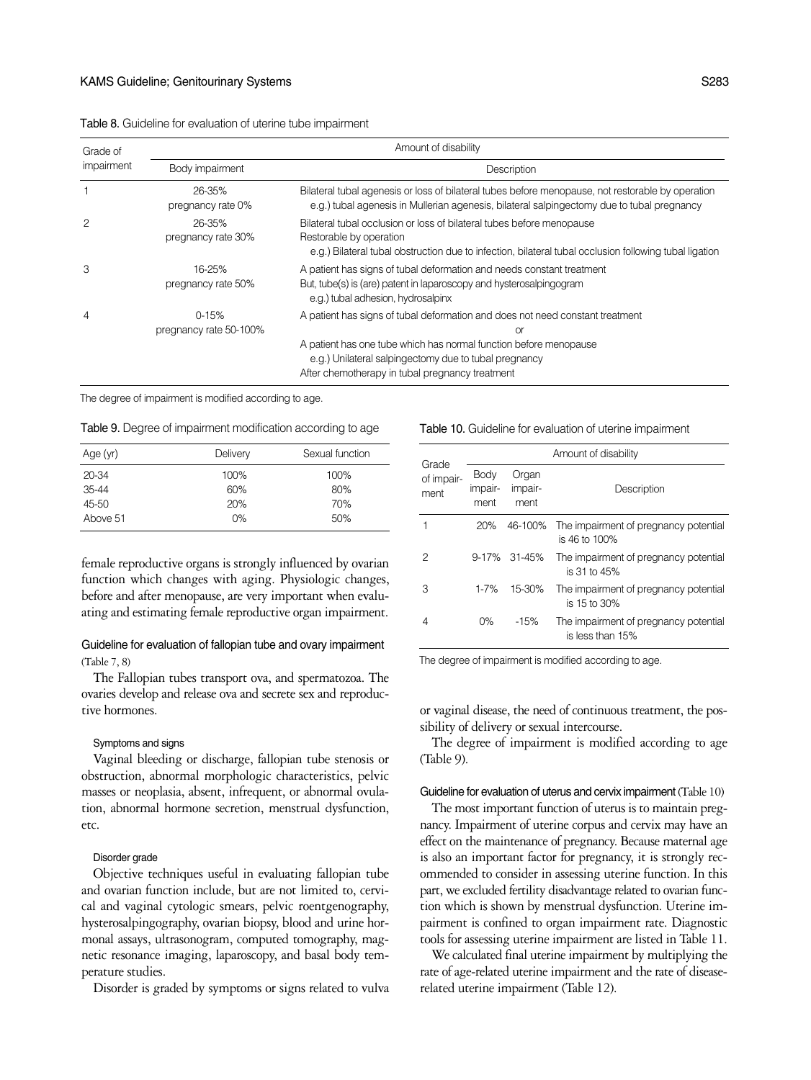# KAMS Guideline; Genitourinary Systems S283

| Table 8. Guideline for evaluation of uterine tube impairment |
|--------------------------------------------------------------|
|--------------------------------------------------------------|

| Grade of<br>impairment | Amount of disability                |                                                                                                                                                                                                                                                                                  |  |  |
|------------------------|-------------------------------------|----------------------------------------------------------------------------------------------------------------------------------------------------------------------------------------------------------------------------------------------------------------------------------|--|--|
|                        | Body impairment                     | Description                                                                                                                                                                                                                                                                      |  |  |
|                        | 26-35%<br>pregnancy rate 0%         | Bilateral tubal agenesis or loss of bilateral tubes before menopause, not restorable by operation<br>e.g.) tubal agenesis in Mullerian agenesis, bilateral salpingectomy due to tubal pregnancy                                                                                  |  |  |
| 2                      | 26-35%<br>pregnancy rate 30%        | Bilateral tubal occlusion or loss of bilateral tubes before menopause<br>Restorable by operation<br>e.g.) Bilateral tubal obstruction due to infection, bilateral tubal occlusion following tubal ligation                                                                       |  |  |
| 3                      | 16-25%<br>pregnancy rate 50%        | A patient has signs of tubal deformation and needs constant treatment<br>But, tube(s) is (are) patent in laparoscopy and hysterosalpingogram<br>e.g.) tubal adhesion, hydrosalpinx                                                                                               |  |  |
| $\overline{4}$         | $0 - 15%$<br>pregnancy rate 50-100% | A patient has signs of tubal deformation and does not need constant treatment<br><sub>O</sub> r<br>A patient has one tube which has normal function before menopause<br>e.g.) Unilateral salpingectomy due to tubal pregnancy<br>After chemotherapy in tubal pregnancy treatment |  |  |

The degree of impairment is modified according to age.

Table 9. Degree of impairment modification according to age

|  |  | Table 10. Guideline for evaluation of uterine impairment |  |  |  |
|--|--|----------------------------------------------------------|--|--|--|
|--|--|----------------------------------------------------------|--|--|--|

| Age(yr)   | Delivery | Sexual function |
|-----------|----------|-----------------|
| 20-34     | 100%     | 100%            |
| $35 - 44$ | 60%      | 80%             |
| $45 - 50$ | 20%      | 70%             |
| Above 51  | 0%       | 50%             |

female reproductive organs is strongly influenced by ovarian function which changes with aging. Physiologic changes, before and after menopause, are very important when evaluating and estimating female reproductive organ impairment.

# Guideline for evaluation of fallopian tube and ovary impairment (Table 7, 8)

The Fallopian tubes transport ova, and spermatozoa. The ovaries develop and release ova and secrete sex and reproductive hormones.

#### Symptoms and signs

Vaginal bleeding or discharge, fallopian tube stenosis or obstruction, abnormal morphologic characteristics, pelvic masses or neoplasia, absent, infrequent, or abnormal ovulation, abnormal hormone secretion, menstrual dysfunction, etc.

# Disorder grade

Objective techniques useful in evaluating fallopian tube and ovarian function include, but are not limited to, cervical and vaginal cytologic smears, pelvic roentgenography, hysterosalpingography, ovarian biopsy, blood and urine hormonal assays, ultrasonogram, computed tomography, magnetic resonance imaging, laparoscopy, and basal body temperature studies.

Disorder is graded by symptoms or signs related to vulva

| Grade              | Amount of disability    |                          |                                                           |  |
|--------------------|-------------------------|--------------------------|-----------------------------------------------------------|--|
| of impair-<br>ment | Body<br>impair-<br>ment | Organ<br>impair-<br>ment | Description                                               |  |
|                    | 20%                     | 46-100%                  | The impairment of pregnancy potential<br>is 46 to 100%    |  |
| 2                  |                         | $9-17\%$ 31-45%          | The impairment of pregnancy potential<br>is 31 to 45%     |  |
| З                  | $1 - 7%$                | 15-30%                   | The impairment of pregnancy potential<br>is 15 to 30%     |  |
| 4                  | $0\%$                   | $-15%$                   | The impairment of pregnancy potential<br>is less than 15% |  |

The degree of impairment is modified according to age.

or vaginal disease, the need of continuous treatment, the possibility of delivery or sexual intercourse.

The degree of impairment is modified according to age (Table 9).

#### Guideline for evaluation of uterus and cervix impairment (Table 10)

The most important function of uterus is to maintain pregnancy. Impairment of uterine corpus and cervix may have an effect on the maintenance of pregnancy. Because maternal age is also an important factor for pregnancy, it is strongly recommended to consider in assessing uterine function. In this part, we excluded fertility disadvantage related to ovarian function which is shown by menstrual dysfunction. Uterine impairment is confined to organ impairment rate. Diagnostic tools for assessing uterine impairment are listed in Table 11.

We calculated final uterine impairment by multiplying the rate of age-related uterine impairment and the rate of diseaserelated uterine impairment (Table 12).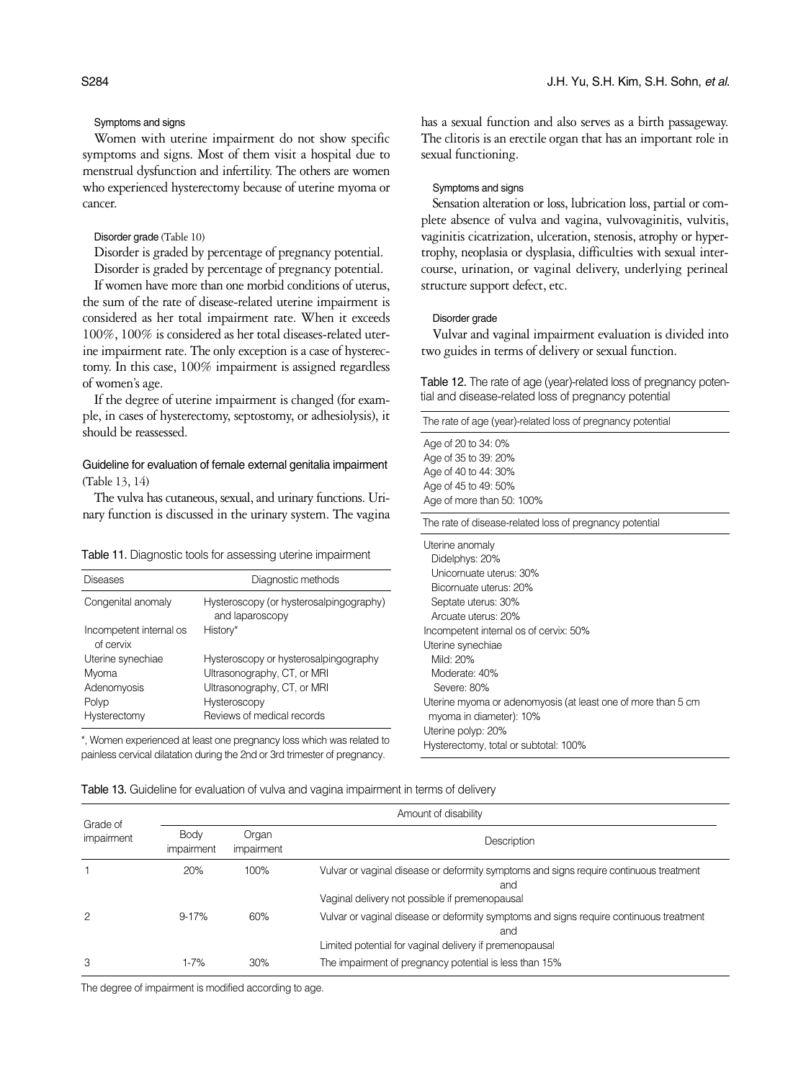# Symptoms and signs

Women with uterine impairment do not show specific symptoms and signs. Most of them visit a hospital due to menstrual dysfunction and infertility. The others are women who experienced hysterectomy because of uterine myoma or cancer.

# Disorder grade (Table 10)

Disorder is graded by percentage of pregnancy potential.

Disorder is graded by percentage of pregnancy potential.

If women have more than one morbid conditions of uterus, the sum of the rate of disease-related uterine impairment is considered as her total impairment rate. When it exceeds 100%, 100% is considered as her total diseases-related uterine impairment rate. The only exception is a case of hysterectomy. In this case, 100% impairment is assigned regardless of women's age.

If the degree of uterine impairment is changed (for example, in cases of hysterectomy, septostomy, or adhesiolysis), it should be reassessed.

Guideline for evaluation of female external genitalia impairment (Table 13, 14)

The vulva has cutaneous, sexual, and urinary functions. Urinary function is discussed in the urinary system. The vagina

| Table 11. Diagnostic tools for assessing uterine impairment |  |  |
|-------------------------------------------------------------|--|--|
|                                                             |  |  |

| Diseases                                                           | Diagnostic methods                                                                                                                                |
|--------------------------------------------------------------------|---------------------------------------------------------------------------------------------------------------------------------------------------|
| Congenital anomaly                                                 | Hysteroscopy (or hysterosalpingography)<br>and laparoscopy                                                                                        |
| Incompetent internal os<br>of cervix                               | History*                                                                                                                                          |
| Uterine synechiae<br>Myoma<br>Adenomyosis<br>Polyp<br>Hysterectomy | Hysteroscopy or hysterosalpingography<br>Ultrasonography, CT, or MRI<br>Ultrasonography, CT, or MRI<br>Hysteroscopy<br>Reviews of medical records |

\*, Women experienced at least one pregnancy loss which was related to painless cervical dilatation during the 2nd or 3rd trimester of pregnancy.

has a sexual function and also serves as a birth passageway. The clitoris is an erectile organ that has an important role in sexual functioning.

# Symptoms and signs

Sensation alteration or loss, lubrication loss, partial or complete absence of vulva and vagina, vulvovaginitis, vulvitis, vaginitis cicatrization, ulceration, stenosis, atrophy or hypertrophy, neoplasia or dysplasia, difficulties with sexual intercourse, urination, or vaginal delivery, underlying perineal structure support defect, etc.

# Disorder grade

Vulvar and vaginal impairment evaluation is divided into two guides in terms of delivery or sexual function.

Table 12. The rate of age (year)-related loss of pregnancy potential and disease-related loss of pregnancy potential

| The rate of age (year)-related loss of pregnancy potential   |
|--------------------------------------------------------------|
| Age of 20 to 34: 0%                                          |
| Age of 35 to 39: 20%                                         |
| Age of 40 to 44: 30%                                         |
| Age of 45 to 49: 50%                                         |
| Age of more than 50: 100%                                    |
| The rate of disease-related loss of pregnancy potential      |
| Uterine anomaly                                              |
| Didelphys: 20%                                               |
| Unicornuate uterus: 30%                                      |
| Bicornuate uterus: 20%                                       |
| Septate uterus: 30%                                          |
| Arcuate uterus: 20%                                          |
| Incompetent internal os of cervix: 50%                       |
| Uterine synechiae                                            |
| Mild: $20\%$                                                 |
| Moderate: 40%                                                |
| Severe: 80%                                                  |
| Uterine myoma or adenomyosis (at least one of more than 5 cm |
| myoma in diameter): 10%                                      |
| Uterine polyp: 20%                                           |
| Hysterectomy, total or subtotal: 100%                        |

Table 13. Guideline for evaluation of vulva and vagina impairment in terms of delivery

| Grade of<br>impairment | Amount of disability |                     |                                                                                                                                                          |  |
|------------------------|----------------------|---------------------|----------------------------------------------------------------------------------------------------------------------------------------------------------|--|
|                        | Body<br>impairment   | Organ<br>impairment | Description                                                                                                                                              |  |
|                        | 20%                  | 100%                | Vulvar or vaginal disease or deformity symptoms and signs require continuous treatment<br>and<br>Vaginal delivery not possible if premenopausal          |  |
| 2                      | $9 - 17%$            | 60%                 | Vulvar or vaginal disease or deformity symptoms and signs require continuous treatment<br>and<br>Limited potential for vaginal delivery if premenopausal |  |
| 3                      | $1 - 7%$             | 30%                 | The impairment of pregnancy potential is less than 15%                                                                                                   |  |

The degree of impairment is modified according to age.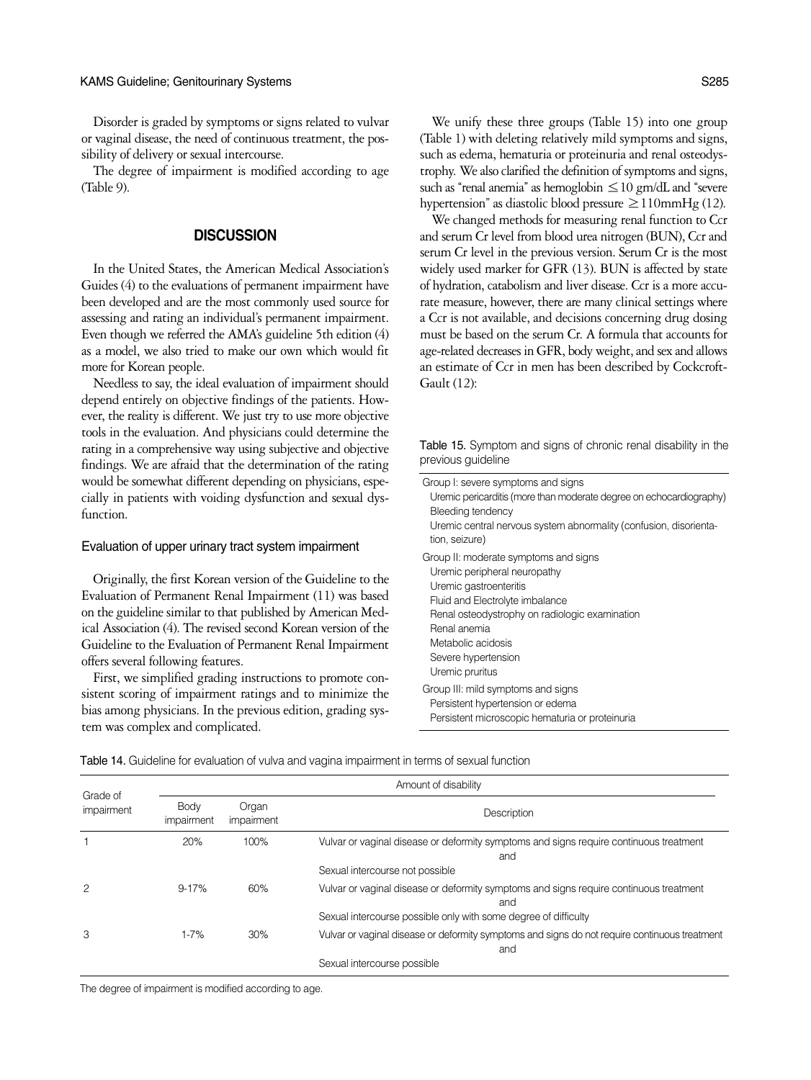Disorder is graded by symptoms or signs related to vulvar or vaginal disease, the need of continuous treatment, the possibility of delivery or sexual intercourse.

The degree of impairment is modified according to age (Table 9).

# **DISCUSSION**

In the United States, the American Medical Association's Guides (4) to the evaluations of permanent impairment have been developed and are the most commonly used source for assessing and rating an individual's permanent impairment. Even though we referred the AMA's guideline 5th edition (4) as a model, we also tried to make our own which would fit more for Korean people.

Needless to say, the ideal evaluation of impairment should depend entirely on objective findings of the patients. However, the reality is different. We just try to use more objective tools in the evaluation. And physicians could determine the rating in a comprehensive way using subjective and objective findings. We are afraid that the determination of the rating would be somewhat different depending on physicians, especially in patients with voiding dysfunction and sexual dysfunction.

#### Evaluation of upper urinary tract system impairment

Originally, the first Korean version of the Guideline to the Evaluation of Permanent Renal Impairment (11) was based on the guideline similar to that published by American Medical Association (4). The revised second Korean version of the Guideline to the Evaluation of Permanent Renal Impairment offers several following features.

First, we simplified grading instructions to promote consistent scoring of impairment ratings and to minimize the bias among physicians. In the previous edition, grading system was complex and complicated.

We unify these three groups (Table 15) into one group (Table 1) with deleting relatively mild symptoms and signs, such as edema, hematuria or proteinuria and renal osteodystrophy. We also clarified the definition of symptoms and signs, such as "renal anemia" as hemoglobin  $\leq 10$  gm/dL and "severe hypertension'' as diastolic blood pressure ≥110mmHg (12).

We changed methods for measuring renal function to Ccr and serum Cr level from blood urea nitrogen (BUN), Ccr and serum Cr level in the previous version. Serum Cr is the most widely used marker for GFR (13). BUN is affected by state of hydration, catabolism and liver disease. Ccr is a more accurate measure, however, there are many clinical settings where a Ccr is not available, and decisions concerning drug dosing must be based on the serum Cr. A formula that accounts for age-related decreases in GFR, body weight, and sex and allows an estimate of Ccr in men has been described by Cockcroft-Gault (12):

Table 15. Symptom and signs of chronic renal disability in the previous guideline

| Group I: severe symptoms and signs<br>Uremic pericarditis (more than moderate degree on echocardiography)<br><b>Bleeding tendency</b><br>Uremic central nervous system abnormality (confusion, disorienta-<br>tion, seizure)                                         |
|----------------------------------------------------------------------------------------------------------------------------------------------------------------------------------------------------------------------------------------------------------------------|
| Group II: moderate symptoms and signs<br>Uremic peripheral neuropathy<br>Uremic gastroenteritis<br>Fluid and Electrolyte imbalance<br>Renal osteodystrophy on radiologic examination<br>Renal anemia<br>Metabolic acidosis<br>Severe hypertension<br>Uremic pruritus |
| Group III: mild symptoms and signs<br>Persistent hypertension or edema<br>Persistent microscopic hematuria or proteinuria                                                                                                                                            |

Table 14. Guideline for evaluation of vulva and vagina impairment in terms of sexual function

| Grade of<br>impairment | Amount of disability |                     |                                                                                                      |  |
|------------------------|----------------------|---------------------|------------------------------------------------------------------------------------------------------|--|
|                        | Body<br>impairment   | Organ<br>impairment | Description                                                                                          |  |
|                        | 20%                  | 100%                | Vulvar or vaginal disease or deformity symptoms and signs require continuous treatment<br>and        |  |
|                        |                      |                     | Sexual intercourse not possible                                                                      |  |
| $\overline{c}$         | $9 - 17%$            | 60%                 | Vulvar or vaginal disease or deformity symptoms and signs require continuous treatment<br>and        |  |
|                        |                      |                     | Sexual intercourse possible only with some degree of difficulty                                      |  |
| 3                      | $1 - 7%$             | 30%                 | Vulvar or vaginal disease or deformity symptoms and signs do not require continuous treatment<br>and |  |
|                        |                      |                     | Sexual intercourse possible                                                                          |  |

The degree of impairment is modified according to age.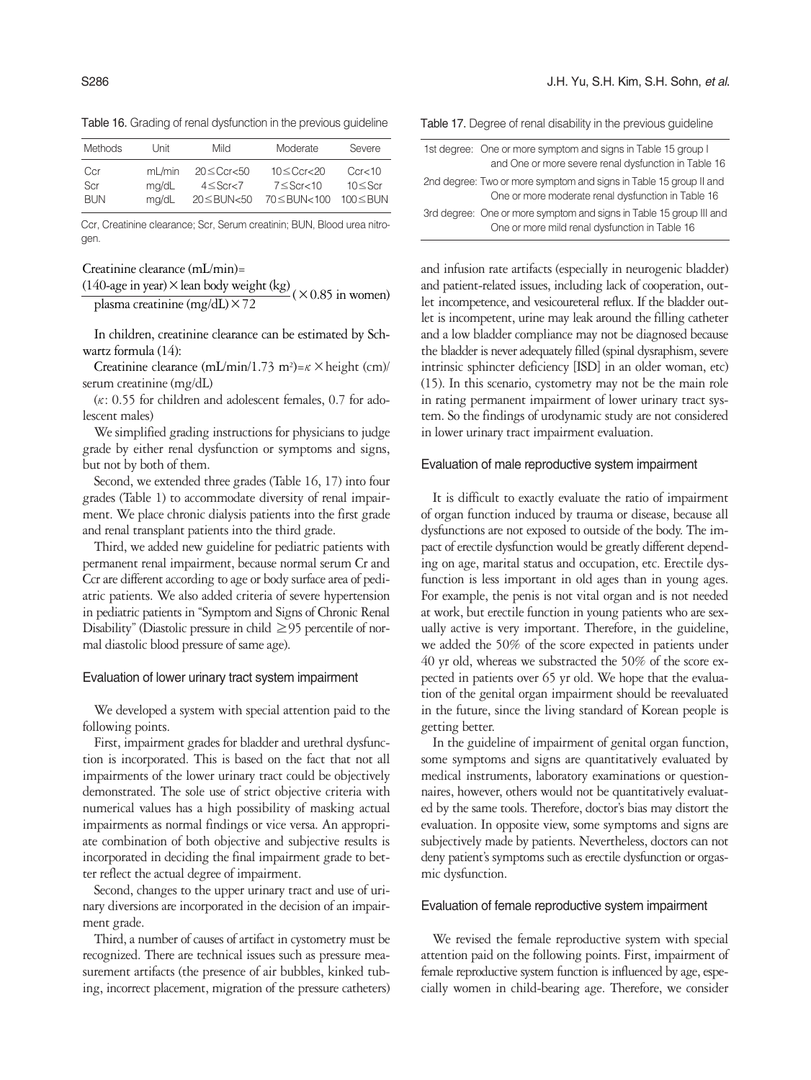Table 16. Grading of renal dysfunction in the previous guideline

| Methods    | Unit   | Mild               | Moderate            | Severe          |
|------------|--------|--------------------|---------------------|-----------------|
| Ccr        | mL/min | $20 \leq Ccr < 50$ | $10 \leq Ccr < 20$  | Ccr<10          |
| Scr        | mg/dL  | $4 \leq$ Scr $<$ 7 | $7 \leq$ Scr $<$ 10 | $10$ $\leq$ Scr |
| <b>BUN</b> | ma/dL  | $20 \leq BUN < 50$ | 70≤BUN<100          | $100 \leq B$ UN |

Ccr, Creatinine clearance; Scr, Serum creatinin; BUN, Blood urea nitrogen.

#### Creatinine clearance (mL/min)=

(140-age in year)  $\times$  lean body weight (kg) ( $\times$  0.85 in women) plasma creatinine (mg/dL)  $\times$  72

In children, creatinine clearance can be estimated by Schwartz formula (14):

Creatinine clearance (mL/min/1.73 m<sup>2</sup>)= $\kappa \times$ height (cm)/ serum creatinine (mg/dL)

(κ: 0.55 for children and adolescent females, 0.7 for adolescent males)

We simplified grading instructions for physicians to judge grade by either renal dysfunction or symptoms and signs, but not by both of them.

Second, we extended three grades (Table 16, 17) into four grades (Table 1) to accommodate diversity of renal impairment. We place chronic dialysis patients into the first grade and renal transplant patients into the third grade.

Third, we added new guideline for pediatric patients with permanent renal impairment, because normal serum Cr and Ccr are different according to age or body surface area of pediatric patients. We also added criteria of severe hypertension in pediatric patients in "Symptom and Signs of Chronic Renal Disability" (Diastolic pressure in child  $\geq$  95 percentile of normal diastolic blood pressure of same age).

#### Evaluation of lower urinary tract system impairment

We developed a system with special attention paid to the following points.

First, impairment grades for bladder and urethral dysfunction is incorporated. This is based on the fact that not all impairments of the lower urinary tract could be objectively demonstrated. The sole use of strict objective criteria with numerical values has a high possibility of masking actual impairments as normal findings or vice versa. An appropriate combination of both objective and subjective results is incorporated in deciding the final impairment grade to better reflect the actual degree of impairment.

Second, changes to the upper urinary tract and use of urinary diversions are incorporated in the decision of an impairment grade.

Third, a number of causes of artifact in cystometry must be recognized. There are technical issues such as pressure measurement artifacts (the presence of air bubbles, kinked tubing, incorrect placement, migration of the pressure catheters) Table 17. Degree of renal disability in the previous guideline

| 1st degree: One or more symptom and signs in Table 15 group I<br>and One or more severe renal dysfunction in Table 16    |
|--------------------------------------------------------------------------------------------------------------------------|
| 2nd degree: Two or more symptom and signs in Table 15 group II and<br>One or more moderate renal dysfunction in Table 16 |
| 3rd degree: One or more symptom and signs in Table 15 group III and<br>One or more mild renal dysfunction in Table 16    |

and infusion rate artifacts (especially in neurogenic bladder) and patient-related issues, including lack of cooperation, outlet incompetence, and vesicoureteral reflux. If the bladder outlet is incompetent, urine may leak around the filling catheter and a low bladder compliance may not be diagnosed because the bladder is never adequately filled (spinal dysraphism, severe intrinsic sphincter deficiency [ISD] in an older woman, etc) (15). In this scenario, cystometry may not be the main role in rating permanent impairment of lower urinary tract system. So the findings of urodynamic study are not considered in lower urinary tract impairment evaluation.

## Evaluation of male reproductive system impairment

It is difficult to exactly evaluate the ratio of impairment of organ function induced by trauma or disease, because all dysfunctions are not exposed to outside of the body. The impact of erectile dysfunction would be greatly different depending on age, marital status and occupation, etc. Erectile dysfunction is less important in old ages than in young ages. For example, the penis is not vital organ and is not needed at work, but erectile function in young patients who are sexually active is very important. Therefore, in the guideline, we added the 50% of the score expected in patients under 40 yr old, whereas we substracted the 50% of the score expected in patients over 65 yr old. We hope that the evaluation of the genital organ impairment should be reevaluated in the future, since the living standard of Korean people is getting better.

In the guideline of impairment of genital organ function, some symptoms and signs are quantitatively evaluated by medical instruments, laboratory examinations or questionnaires, however, others would not be quantitatively evaluated by the same tools. Therefore, doctor's bias may distort the evaluation. In opposite view, some symptoms and signs are subjectively made by patients. Nevertheless, doctors can not deny patient's symptoms such as erectile dysfunction or orgasmic dysfunction.

### Evaluation of female reproductive system impairment

We revised the female reproductive system with special attention paid on the following points. First, impairment of female reproductive system function is influenced by age, especially women in child-bearing age. Therefore, we consider